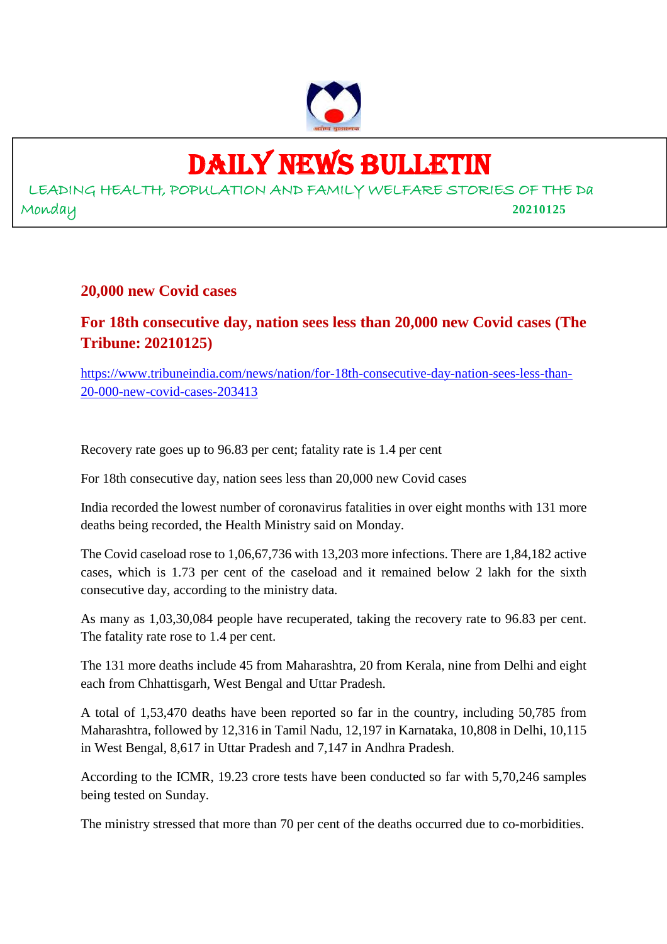

## DAILY NEWS BULLETIN

LEADING HEALTH, POPULATION AND FAMILY WELFARE STORIES OF THE Da Monday **20210125**

## **20,000 new Covid cases**

## **For 18th consecutive day, nation sees less than 20,000 new Covid cases (The Tribune: 20210125)**

https://www.tribuneindia.com/news/nation/for-18th-consecutive-day-nation-sees-less-than-20-000-new-covid-cases-203413

Recovery rate goes up to 96.83 per cent; fatality rate is 1.4 per cent

For 18th consecutive day, nation sees less than 20,000 new Covid cases

India recorded the lowest number of coronavirus fatalities in over eight months with 131 more deaths being recorded, the Health Ministry said on Monday.

The Covid caseload rose to 1,06,67,736 with 13,203 more infections. There are 1,84,182 active cases, which is 1.73 per cent of the caseload and it remained below 2 lakh for the sixth consecutive day, according to the ministry data.

As many as 1,03,30,084 people have recuperated, taking the recovery rate to 96.83 per cent. The fatality rate rose to 1.4 per cent.

The 131 more deaths include 45 from Maharashtra, 20 from Kerala, nine from Delhi and eight each from Chhattisgarh, West Bengal and Uttar Pradesh.

A total of 1,53,470 deaths have been reported so far in the country, including 50,785 from Maharashtra, followed by 12,316 in Tamil Nadu, 12,197 in Karnataka, 10,808 in Delhi, 10,115 in West Bengal, 8,617 in Uttar Pradesh and 7,147 in Andhra Pradesh.

According to the ICMR, 19.23 crore tests have been conducted so far with 5,70,246 samples being tested on Sunday.

The ministry stressed that more than 70 per cent of the deaths occurred due to co-morbidities.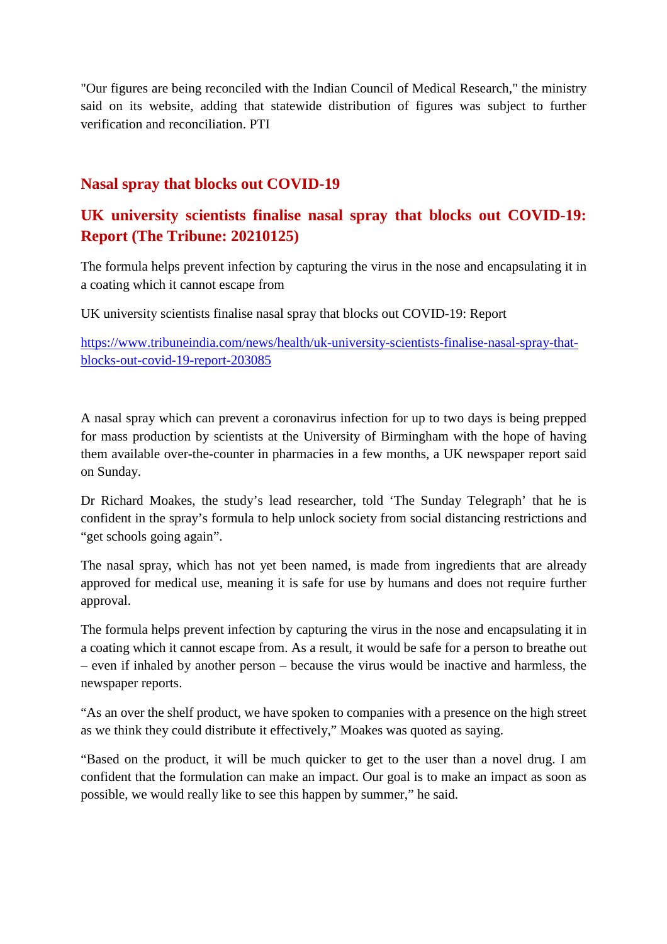"Our figures are being reconciled with the Indian Council of Medical Research," the ministry said on its website, adding that statewide distribution of figures was subject to further verification and reconciliation. PTI

## **Nasal spray that blocks out COVID-19**

## **UK university scientists finalise nasal spray that blocks out COVID-19: Report (The Tribune: 20210125)**

The formula helps prevent infection by capturing the virus in the nose and encapsulating it in a coating which it cannot escape from

UK university scientists finalise nasal spray that blocks out COVID-19: Report

https://www.tribuneindia.com/news/health/uk-university-scientists-finalise-nasal-spray-thatblocks-out-covid-19-report-203085

A nasal spray which can prevent a coronavirus infection for up to two days is being prepped for mass production by scientists at the University of Birmingham with the hope of having them available over-the-counter in pharmacies in a few months, a UK newspaper report said on Sunday.

Dr Richard Moakes, the study's lead researcher, told 'The Sunday Telegraph' that he is confident in the spray's formula to help unlock society from social distancing restrictions and "get schools going again".

The nasal spray, which has not yet been named, is made from ingredients that are already approved for medical use, meaning it is safe for use by humans and does not require further approval.

The formula helps prevent infection by capturing the virus in the nose and encapsulating it in a coating which it cannot escape from. As a result, it would be safe for a person to breathe out – even if inhaled by another person – because the virus would be inactive and harmless, the newspaper reports.

"As an over the shelf product, we have spoken to companies with a presence on the high street as we think they could distribute it effectively," Moakes was quoted as saying.

"Based on the product, it will be much quicker to get to the user than a novel drug. I am confident that the formulation can make an impact. Our goal is to make an impact as soon as possible, we would really like to see this happen by summer," he said.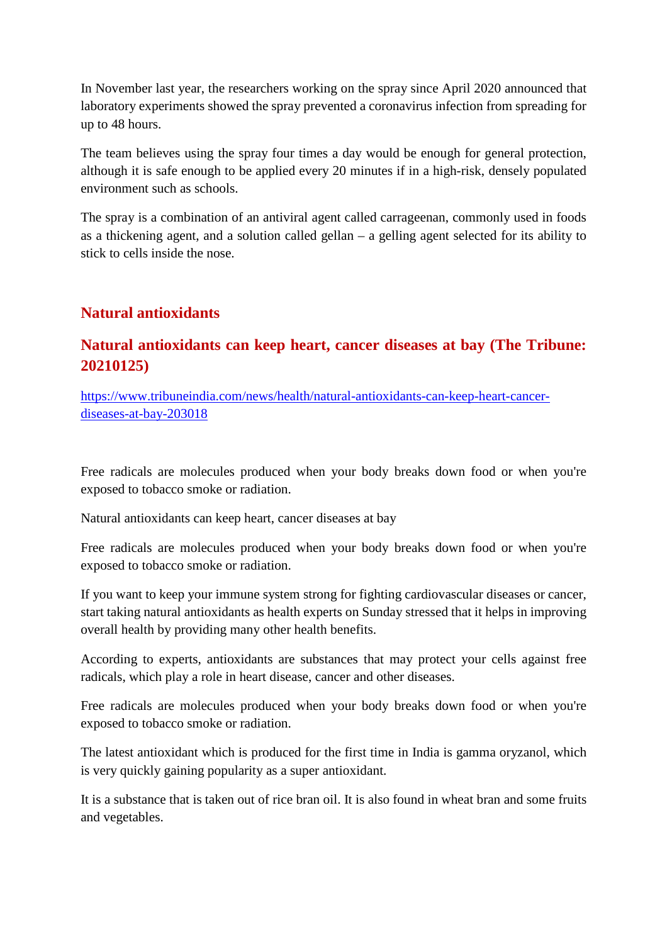In November last year, the researchers working on the spray since April 2020 announced that laboratory experiments showed the spray prevented a coronavirus infection from spreading for up to 48 hours.

The team believes using the spray four times a day would be enough for general protection, although it is safe enough to be applied every 20 minutes if in a high-risk, densely populated environment such as schools.

The spray is a combination of an antiviral agent called carrageenan, commonly used in foods as a thickening agent, and a solution called gellan – a gelling agent selected for its ability to stick to cells inside the nose.

## **Natural antioxidants**

## **Natural antioxidants can keep heart, cancer diseases at bay (The Tribune: 20210125)**

https://www.tribuneindia.com/news/health/natural-antioxidants-can-keep-heart-cancerdiseases-at-bay-203018

Free radicals are molecules produced when your body breaks down food or when you're exposed to tobacco smoke or radiation.

Natural antioxidants can keep heart, cancer diseases at bay

Free radicals are molecules produced when your body breaks down food or when you're exposed to tobacco smoke or radiation.

If you want to keep your immune system strong for fighting cardiovascular diseases or cancer, start taking natural antioxidants as health experts on Sunday stressed that it helps in improving overall health by providing many other health benefits.

According to experts, antioxidants are substances that may protect your cells against free radicals, which play a role in heart disease, cancer and other diseases.

Free radicals are molecules produced when your body breaks down food or when you're exposed to tobacco smoke or radiation.

The latest antioxidant which is produced for the first time in India is gamma oryzanol, which is very quickly gaining popularity as a super antioxidant.

It is a substance that is taken out of rice bran oil. It is also found in wheat bran and some fruits and vegetables.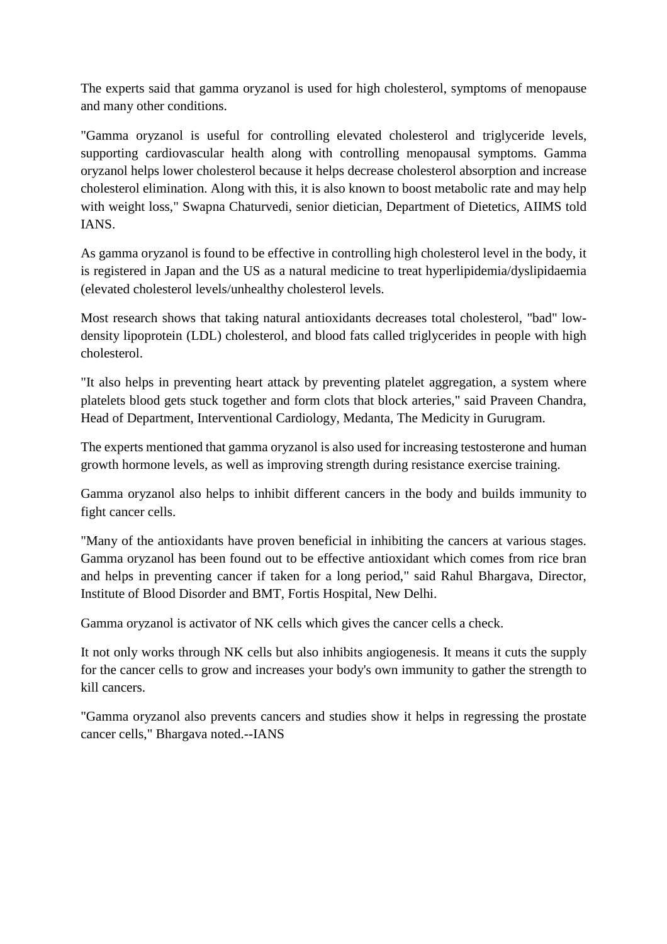The experts said that gamma oryzanol is used for high cholesterol, symptoms of menopause and many other conditions.

"Gamma oryzanol is useful for controlling elevated cholesterol and triglyceride levels, supporting cardiovascular health along with controlling menopausal symptoms. Gamma oryzanol helps lower cholesterol because it helps decrease cholesterol absorption and increase cholesterol elimination. Along with this, it is also known to boost metabolic rate and may help with weight loss," Swapna Chaturvedi, senior dietician, Department of Dietetics, AIIMS told IANS.

As gamma oryzanol is found to be effective in controlling high cholesterol level in the body, it is registered in Japan and the US as a natural medicine to treat hyperlipidemia/dyslipidaemia (elevated cholesterol levels/unhealthy cholesterol levels.

Most research shows that taking natural antioxidants decreases total cholesterol, "bad" lowdensity lipoprotein (LDL) cholesterol, and blood fats called triglycerides in people with high cholesterol.

"It also helps in preventing heart attack by preventing platelet aggregation, a system where platelets blood gets stuck together and form clots that block arteries," said Praveen Chandra, Head of Department, Interventional Cardiology, Medanta, The Medicity in Gurugram.

The experts mentioned that gamma oryzanol is also used for increasing testosterone and human growth hormone levels, as well as improving strength during resistance exercise training.

Gamma oryzanol also helps to inhibit different cancers in the body and builds immunity to fight cancer cells.

"Many of the antioxidants have proven beneficial in inhibiting the cancers at various stages. Gamma oryzanol has been found out to be effective antioxidant which comes from rice bran and helps in preventing cancer if taken for a long period," said Rahul Bhargava, Director, Institute of Blood Disorder and BMT, Fortis Hospital, New Delhi.

Gamma oryzanol is activator of NK cells which gives the cancer cells a check.

It not only works through NK cells but also inhibits angiogenesis. It means it cuts the supply for the cancer cells to grow and increases your body's own immunity to gather the strength to kill cancers.

"Gamma oryzanol also prevents cancers and studies show it helps in regressing the prostate cancer cells," Bhargava noted.--IANS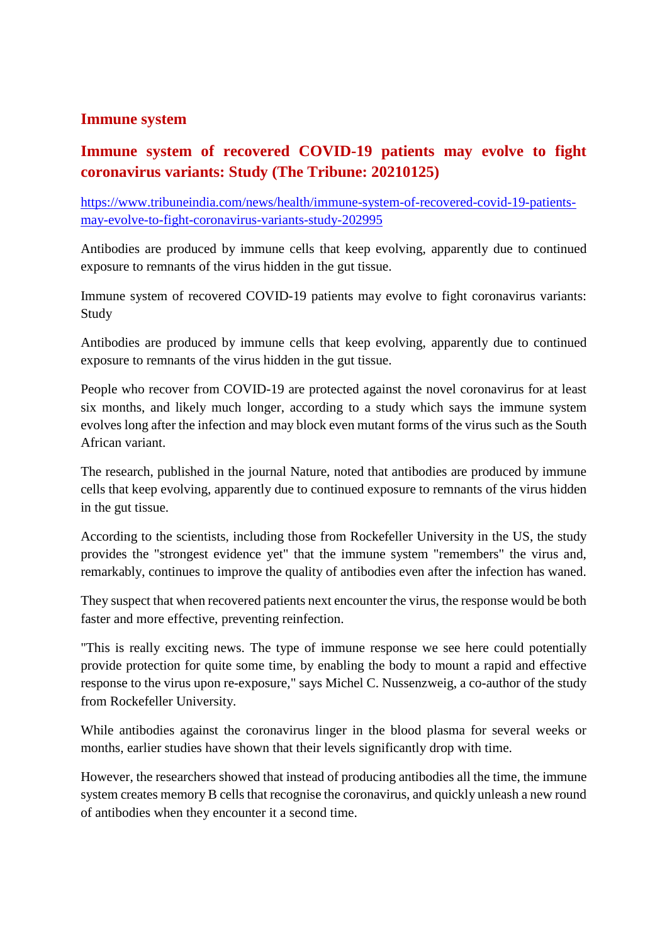#### **Immune system**

## **Immune system of recovered COVID-19 patients may evolve to fight coronavirus variants: Study (The Tribune: 20210125)**

https://www.tribuneindia.com/news/health/immune-system-of-recovered-covid-19-patientsmay-evolve-to-fight-coronavirus-variants-study-202995

Antibodies are produced by immune cells that keep evolving, apparently due to continued exposure to remnants of the virus hidden in the gut tissue.

Immune system of recovered COVID-19 patients may evolve to fight coronavirus variants: Study

Antibodies are produced by immune cells that keep evolving, apparently due to continued exposure to remnants of the virus hidden in the gut tissue.

People who recover from COVID-19 are protected against the novel coronavirus for at least six months, and likely much longer, according to a study which says the immune system evolves long after the infection and may block even mutant forms of the virus such as the South African variant.

The research, published in the journal Nature, noted that antibodies are produced by immune cells that keep evolving, apparently due to continued exposure to remnants of the virus hidden in the gut tissue.

According to the scientists, including those from Rockefeller University in the US, the study provides the "strongest evidence yet" that the immune system "remembers" the virus and, remarkably, continues to improve the quality of antibodies even after the infection has waned.

They suspect that when recovered patients next encounter the virus, the response would be both faster and more effective, preventing reinfection.

"This is really exciting news. The type of immune response we see here could potentially provide protection for quite some time, by enabling the body to mount a rapid and effective response to the virus upon re-exposure," says Michel C. Nussenzweig, a co-author of the study from Rockefeller University.

While antibodies against the coronavirus linger in the blood plasma for several weeks or months, earlier studies have shown that their levels significantly drop with time.

However, the researchers showed that instead of producing antibodies all the time, the immune system creates memory B cells that recognise the coronavirus, and quickly unleash a new round of antibodies when they encounter it a second time.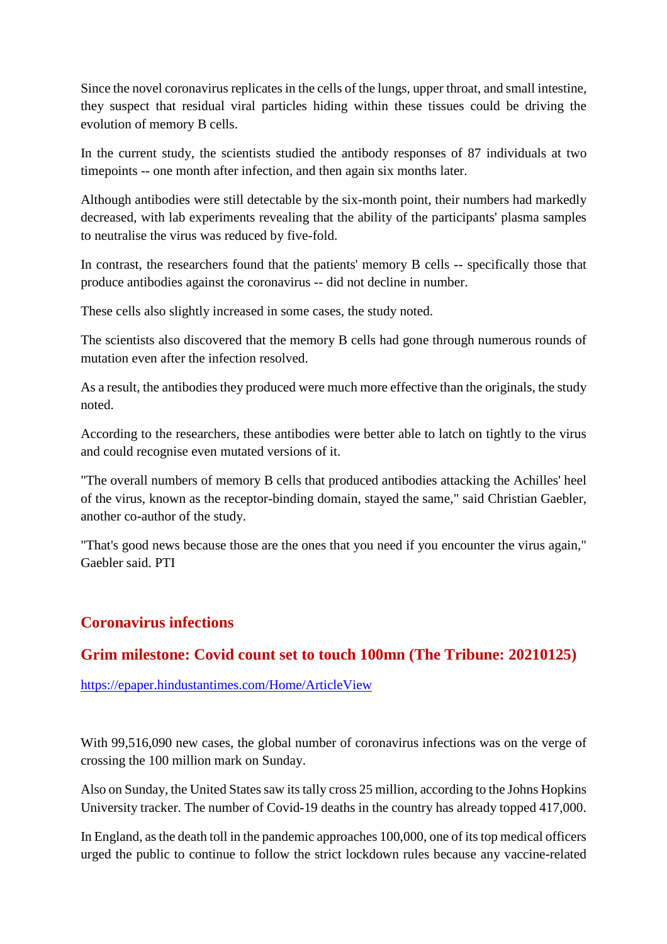Since the novel coronavirus replicates in the cells of the lungs, upper throat, and small intestine, they suspect that residual viral particles hiding within these tissues could be driving the evolution of memory B cells.

In the current study, the scientists studied the antibody responses of 87 individuals at two timepoints -- one month after infection, and then again six months later.

Although antibodies were still detectable by the six-month point, their numbers had markedly decreased, with lab experiments revealing that the ability of the participants' plasma samples to neutralise the virus was reduced by five-fold.

In contrast, the researchers found that the patients' memory B cells -- specifically those that produce antibodies against the coronavirus -- did not decline in number.

These cells also slightly increased in some cases, the study noted.

The scientists also discovered that the memory B cells had gone through numerous rounds of mutation even after the infection resolved.

As a result, the antibodies they produced were much more effective than the originals, the study noted.

According to the researchers, these antibodies were better able to latch on tightly to the virus and could recognise even mutated versions of it.

"The overall numbers of memory B cells that produced antibodies attacking the Achilles' heel of the virus, known as the receptor-binding domain, stayed the same," said Christian Gaebler, another co-author of the study.

"That's good news because those are the ones that you need if you encounter the virus again," Gaebler said. PTI

## **Coronavirus infections**

## **Grim milestone: Covid count set to touch 100mn (The Tribune: 20210125)**

https://epaper.hindustantimes.com/Home/ArticleView

With 99,516,090 new cases, the global number of coronavirus infections was on the verge of crossing the 100 million mark on Sunday.

Also on Sunday, the United States saw its tally cross 25 million, according to the Johns Hopkins University tracker. The number of Covid-19 deaths in the country has already topped 417,000.

In England, as the death toll in the pandemic approaches 100,000, one of its top medical officers urged the public to continue to follow the strict lockdown rules because any vaccine-related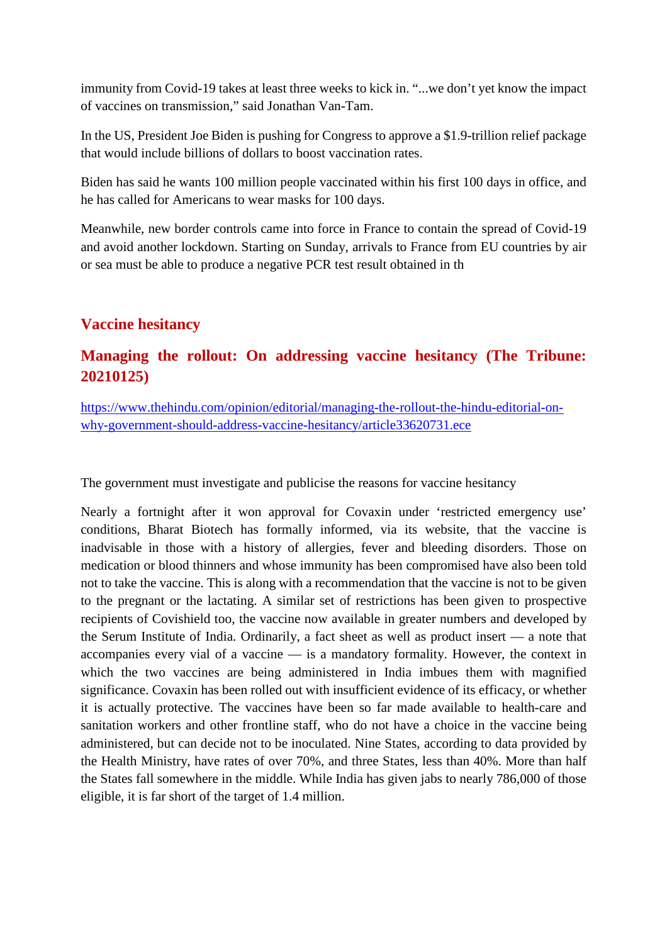immunity from Covid-19 takes at least three weeks to kick in. "...we don't yet know the impact of vaccines on transmission," said Jonathan Van-Tam.

In the US, President Joe Biden is pushing for Congress to approve a \$1.9-trillion relief package that would include billions of dollars to boost vaccination rates.

Biden has said he wants 100 million people vaccinated within his first 100 days in office, and he has called for Americans to wear masks for 100 days.

Meanwhile, new border controls came into force in France to contain the spread of Covid-19 and avoid another lockdown. Starting on Sunday, arrivals to France from EU countries by air or sea must be able to produce a negative PCR test result obtained in th

## **Vaccine hesitancy**

## **Managing the rollout: On addressing vaccine hesitancy (The Tribune: 20210125)**

https://www.thehindu.com/opinion/editorial/managing-the-rollout-the-hindu-editorial-onwhy-government-should-address-vaccine-hesitancy/article33620731.ece

The government must investigate and publicise the reasons for vaccine hesitancy

Nearly a fortnight after it won approval for Covaxin under 'restricted emergency use' conditions, Bharat Biotech has formally informed, via its website, that the vaccine is inadvisable in those with a history of allergies, fever and bleeding disorders. Those on medication or blood thinners and whose immunity has been compromised have also been told not to take the vaccine. This is along with a recommendation that the vaccine is not to be given to the pregnant or the lactating. A similar set of restrictions has been given to prospective recipients of Covishield too, the vaccine now available in greater numbers and developed by the Serum Institute of India. Ordinarily, a fact sheet as well as product insert — a note that accompanies every vial of a vaccine — is a mandatory formality. However, the context in which the two vaccines are being administered in India imbues them with magnified significance. Covaxin has been rolled out with insufficient evidence of its efficacy, or whether it is actually protective. The vaccines have been so far made available to health-care and sanitation workers and other frontline staff, who do not have a choice in the vaccine being administered, but can decide not to be inoculated. Nine States, according to data provided by the Health Ministry, have rates of over 70%, and three States, less than 40%. More than half the States fall somewhere in the middle. While India has given jabs to nearly 786,000 of those eligible, it is far short of the target of 1.4 million.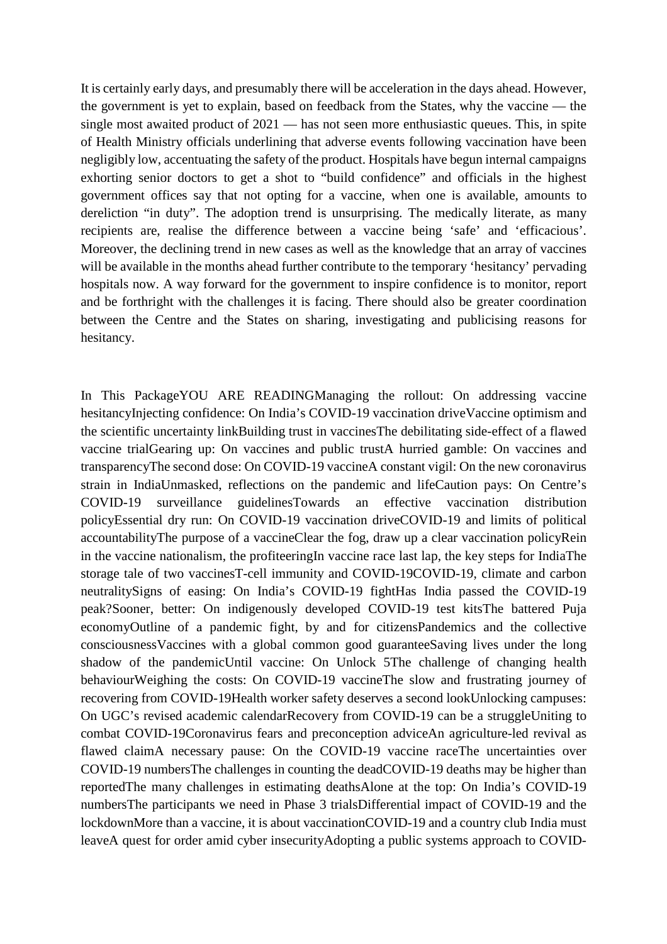It is certainly early days, and presumably there will be acceleration in the days ahead. However, the government is yet to explain, based on feedback from the States, why the vaccine — the single most awaited product of 2021 — has not seen more enthusiastic queues. This, in spite of Health Ministry officials underlining that adverse events following vaccination have been negligibly low, accentuating the safety of the product. Hospitals have begun internal campaigns exhorting senior doctors to get a shot to "build confidence" and officials in the highest government offices say that not opting for a vaccine, when one is available, amounts to dereliction "in duty". The adoption trend is unsurprising. The medically literate, as many recipients are, realise the difference between a vaccine being 'safe' and 'efficacious'. Moreover, the declining trend in new cases as well as the knowledge that an array of vaccines will be available in the months ahead further contribute to the temporary 'hesitancy' pervading hospitals now. A way forward for the government to inspire confidence is to monitor, report and be forthright with the challenges it is facing. There should also be greater coordination between the Centre and the States on sharing, investigating and publicising reasons for hesitancy.

In This PackageYOU ARE READINGManaging the rollout: On addressing vaccine hesitancyInjecting confidence: On India's COVID-19 vaccination driveVaccine optimism and the scientific uncertainty linkBuilding trust in vaccinesThe debilitating side-effect of a flawed vaccine trialGearing up: On vaccines and public trustA hurried gamble: On vaccines and transparencyThe second dose: On COVID-19 vaccineA constant vigil: On the new coronavirus strain in IndiaUnmasked, reflections on the pandemic and lifeCaution pays: On Centre's COVID-19 surveillance guidelinesTowards an effective vaccination distribution policyEssential dry run: On COVID-19 vaccination driveCOVID-19 and limits of political accountabilityThe purpose of a vaccineClear the fog, draw up a clear vaccination policyRein in the vaccine nationalism, the profiteeringIn vaccine race last lap, the key steps for IndiaThe storage tale of two vaccinesT-cell immunity and COVID-19COVID-19, climate and carbon neutralitySigns of easing: On India's COVID-19 fightHas India passed the COVID-19 peak?Sooner, better: On indigenously developed COVID-19 test kitsThe battered Puja economyOutline of a pandemic fight, by and for citizensPandemics and the collective consciousnessVaccines with a global common good guaranteeSaving lives under the long shadow of the pandemicUntil vaccine: On Unlock 5The challenge of changing health behaviourWeighing the costs: On COVID-19 vaccineThe slow and frustrating journey of recovering from COVID-19Health worker safety deserves a second lookUnlocking campuses: On UGC's revised academic calendarRecovery from COVID-19 can be a struggleUniting to combat COVID-19Coronavirus fears and preconception adviceAn agriculture-led revival as flawed claimA necessary pause: On the COVID-19 vaccine raceThe uncertainties over COVID-19 numbersThe challenges in counting the deadCOVID-19 deaths may be higher than reportedThe many challenges in estimating deathsAlone at the top: On India's COVID-19 numbersThe participants we need in Phase 3 trialsDifferential impact of COVID-19 and the lockdownMore than a vaccine, it is about vaccinationCOVID-19 and a country club India must leaveA quest for order amid cyber insecurityAdopting a public systems approach to COVID-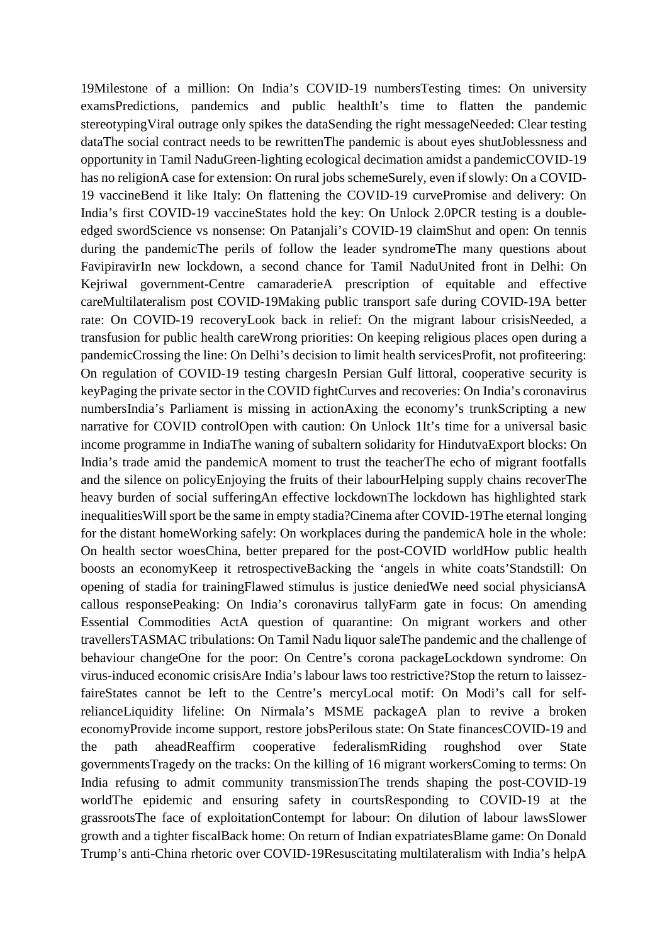19Milestone of a million: On India's COVID-19 numbersTesting times: On university examsPredictions, pandemics and public healthIt's time to flatten the pandemic stereotypingViral outrage only spikes the dataSending the right messageNeeded: Clear testing dataThe social contract needs to be rewrittenThe pandemic is about eyes shutJoblessness and opportunity in Tamil NaduGreen-lighting ecological decimation amidst a pandemicCOVID-19 has no religionA case for extension: On rural jobs schemeSurely, even if slowly: On a COVID-19 vaccineBend it like Italy: On flattening the COVID-19 curvePromise and delivery: On India's first COVID-19 vaccineStates hold the key: On Unlock 2.0PCR testing is a doubleedged swordScience vs nonsense: On Patanjali's COVID-19 claimShut and open: On tennis during the pandemicThe perils of follow the leader syndromeThe many questions about FavipiravirIn new lockdown, a second chance for Tamil NaduUnited front in Delhi: On Kejriwal government-Centre camaraderieA prescription of equitable and effective careMultilateralism post COVID-19Making public transport safe during COVID-19A better rate: On COVID-19 recoveryLook back in relief: On the migrant labour crisisNeeded, a transfusion for public health careWrong priorities: On keeping religious places open during a pandemicCrossing the line: On Delhi's decision to limit health servicesProfit, not profiteering: On regulation of COVID-19 testing chargesIn Persian Gulf littoral, cooperative security is keyPaging the private sector in the COVID fightCurves and recoveries: On India's coronavirus numbersIndia's Parliament is missing in actionAxing the economy's trunkScripting a new narrative for COVID controlOpen with caution: On Unlock 1It's time for a universal basic income programme in IndiaThe waning of subaltern solidarity for HindutvaExport blocks: On India's trade amid the pandemicA moment to trust the teacherThe echo of migrant footfalls and the silence on policyEnjoying the fruits of their labourHelping supply chains recoverThe heavy burden of social sufferingAn effective lockdownThe lockdown has highlighted stark inequalitiesWill sport be the same in empty stadia?Cinema after COVID-19The eternal longing for the distant homeWorking safely: On workplaces during the pandemicA hole in the whole: On health sector woesChina, better prepared for the post-COVID worldHow public health boosts an economyKeep it retrospectiveBacking the 'angels in white coats'Standstill: On opening of stadia for trainingFlawed stimulus is justice deniedWe need social physiciansA callous responsePeaking: On India's coronavirus tallyFarm gate in focus: On amending Essential Commodities ActA question of quarantine: On migrant workers and other travellersTASMAC tribulations: On Tamil Nadu liquor saleThe pandemic and the challenge of behaviour changeOne for the poor: On Centre's corona packageLockdown syndrome: On virus-induced economic crisisAre India's labour laws too restrictive?Stop the return to laissezfaireStates cannot be left to the Centre's mercyLocal motif: On Modi's call for selfrelianceLiquidity lifeline: On Nirmala's MSME packageA plan to revive a broken economyProvide income support, restore jobsPerilous state: On State financesCOVID-19 and the path aheadReaffirm cooperative federalismRiding roughshod over State governmentsTragedy on the tracks: On the killing of 16 migrant workersComing to terms: On India refusing to admit community transmissionThe trends shaping the post-COVID-19 worldThe epidemic and ensuring safety in courtsResponding to COVID-19 at the grassrootsThe face of exploitationContempt for labour: On dilution of labour lawsSlower growth and a tighter fiscalBack home: On return of Indian expatriatesBlame game: On Donald Trump's anti-China rhetoric over COVID-19Resuscitating multilateralism with India's helpA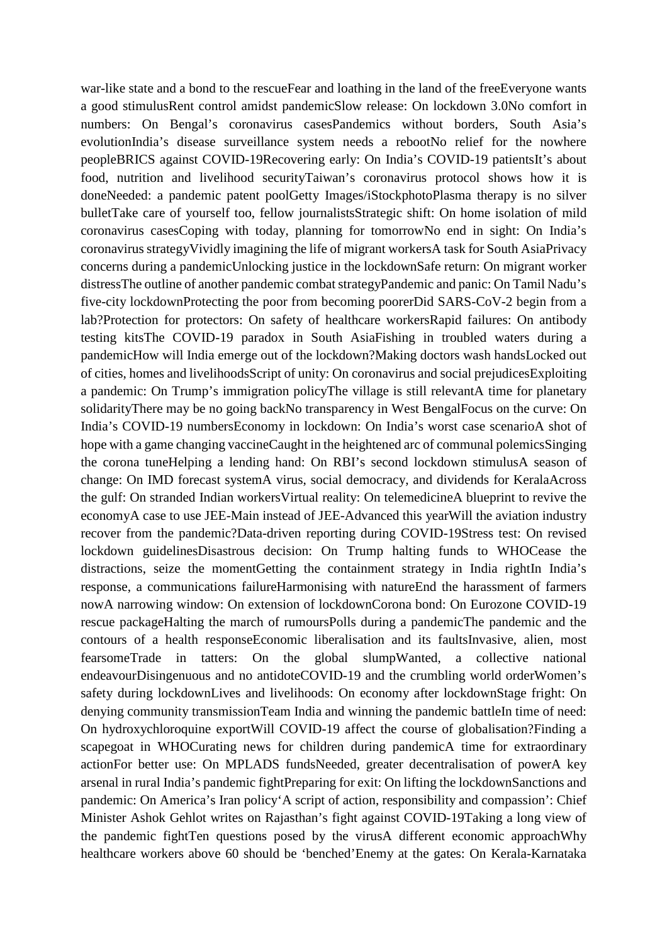war-like state and a bond to the rescueFear and loathing in the land of the freeEveryone wants a good stimulusRent control amidst pandemicSlow release: On lockdown 3.0No comfort in numbers: On Bengal's coronavirus casesPandemics without borders, South Asia's evolutionIndia's disease surveillance system needs a rebootNo relief for the nowhere peopleBRICS against COVID-19Recovering early: On India's COVID-19 patientsIt's about food, nutrition and livelihood securityTaiwan's coronavirus protocol shows how it is doneNeeded: a pandemic patent poolGetty Images/iStockphotoPlasma therapy is no silver bulletTake care of yourself too, fellow journalistsStrategic shift: On home isolation of mild coronavirus casesCoping with today, planning for tomorrowNo end in sight: On India's coronavirus strategyVividly imagining the life of migrant workersA task for South AsiaPrivacy concerns during a pandemicUnlocking justice in the lockdownSafe return: On migrant worker distressThe outline of another pandemic combat strategyPandemic and panic: On Tamil Nadu's five-city lockdownProtecting the poor from becoming poorerDid SARS-CoV-2 begin from a lab?Protection for protectors: On safety of healthcare workersRapid failures: On antibody testing kitsThe COVID-19 paradox in South AsiaFishing in troubled waters during a pandemicHow will India emerge out of the lockdown?Making doctors wash handsLocked out of cities, homes and livelihoodsScript of unity: On coronavirus and social prejudicesExploiting a pandemic: On Trump's immigration policyThe village is still relevantA time for planetary solidarityThere may be no going backNo transparency in West BengalFocus on the curve: On India's COVID-19 numbersEconomy in lockdown: On India's worst case scenarioA shot of hope with a game changing vaccineCaught in the heightened arc of communal polemicsSinging the corona tuneHelping a lending hand: On RBI's second lockdown stimulusA season of change: On IMD forecast systemA virus, social democracy, and dividends for KeralaAcross the gulf: On stranded Indian workersVirtual reality: On telemedicineA blueprint to revive the economyA case to use JEE-Main instead of JEE-Advanced this yearWill the aviation industry recover from the pandemic?Data-driven reporting during COVID-19Stress test: On revised lockdown guidelinesDisastrous decision: On Trump halting funds to WHOCease the distractions, seize the momentGetting the containment strategy in India rightIn India's response, a communications failureHarmonising with natureEnd the harassment of farmers nowA narrowing window: On extension of lockdownCorona bond: On Eurozone COVID-19 rescue packageHalting the march of rumoursPolls during a pandemicThe pandemic and the contours of a health responseEconomic liberalisation and its faultsInvasive, alien, most fearsomeTrade in tatters: On the global slumpWanted, a collective national endeavourDisingenuous and no antidoteCOVID-19 and the crumbling world orderWomen's safety during lockdownLives and livelihoods: On economy after lockdownStage fright: On denying community transmissionTeam India and winning the pandemic battleIn time of need: On hydroxychloroquine exportWill COVID-19 affect the course of globalisation?Finding a scapegoat in WHOCurating news for children during pandemicA time for extraordinary actionFor better use: On MPLADS fundsNeeded, greater decentralisation of powerA key arsenal in rural India's pandemic fightPreparing for exit: On lifting the lockdownSanctions and pandemic: On America's Iran policy'A script of action, responsibility and compassion': Chief Minister Ashok Gehlot writes on Rajasthan's fight against COVID-19Taking a long view of the pandemic fightTen questions posed by the virusA different economic approachWhy healthcare workers above 60 should be 'benched'Enemy at the gates: On Kerala-Karnataka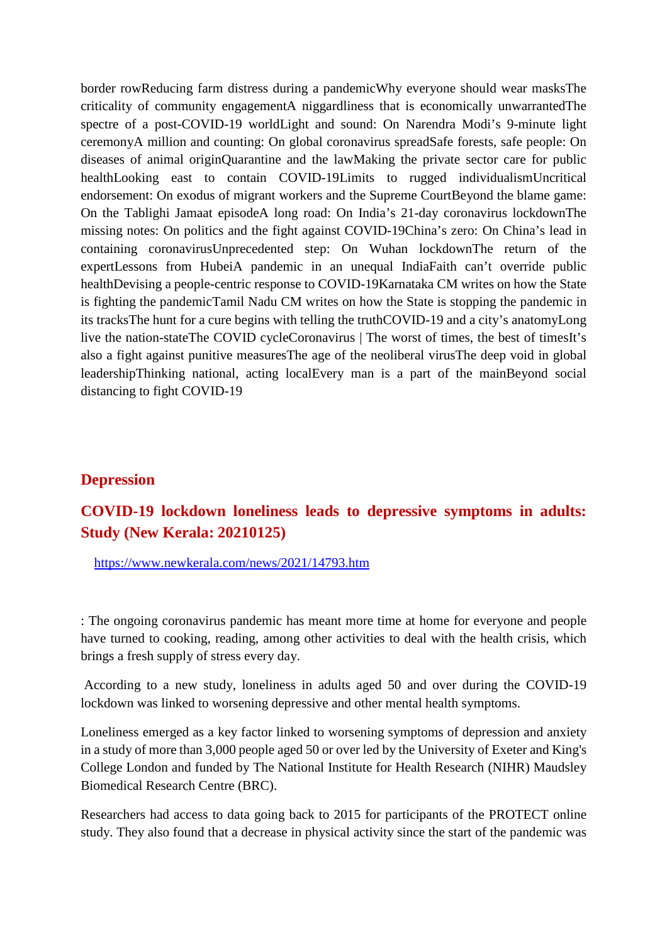border rowReducing farm distress during a pandemicWhy everyone should wear masksThe criticality of community engagementA niggardliness that is economically unwarrantedThe spectre of a post-COVID-19 worldLight and sound: On Narendra Modi's 9-minute light ceremonyA million and counting: On global coronavirus spreadSafe forests, safe people: On diseases of animal originQuarantine and the lawMaking the private sector care for public healthLooking east to contain COVID-19Limits to rugged individualismUncritical endorsement: On exodus of migrant workers and the Supreme CourtBeyond the blame game: On the Tablighi Jamaat episodeA long road: On India's 21-day coronavirus lockdownThe missing notes: On politics and the fight against COVID-19China's zero: On China's lead in containing coronavirusUnprecedented step: On Wuhan lockdownThe return of the expertLessons from HubeiA pandemic in an unequal IndiaFaith can't override public healthDevising a people-centric response to COVID-19Karnataka CM writes on how the State is fighting the pandemicTamil Nadu CM writes on how the State is stopping the pandemic in its tracksThe hunt for a cure begins with telling the truthCOVID-19 and a city's anatomyLong live the nation-stateThe COVID cycleCoronavirus | The worst of times, the best of timesIt's also a fight against punitive measuresThe age of the neoliberal virusThe deep void in global leadershipThinking national, acting localEvery man is a part of the mainBeyond social distancing to fight COVID-19

#### **Depression**

## **COVID-19 lockdown loneliness leads to depressive symptoms in adults: Study (New Kerala: 20210125)**

https://www.newkerala.com/news/2021/14793.htm

: The ongoing coronavirus pandemic has meant more time at home for everyone and people have turned to cooking, reading, among other activities to deal with the health crisis, which brings a fresh supply of stress every day.

According to a new study, loneliness in adults aged 50 and over during the COVID-19 lockdown was linked to worsening depressive and other mental health symptoms.

Loneliness emerged as a key factor linked to worsening symptoms of depression and anxiety in a study of more than 3,000 people aged 50 or over led by the University of Exeter and King's College London and funded by The National Institute for Health Research (NIHR) Maudsley Biomedical Research Centre (BRC).

Researchers had access to data going back to 2015 for participants of the PROTECT online study. They also found that a decrease in physical activity since the start of the pandemic was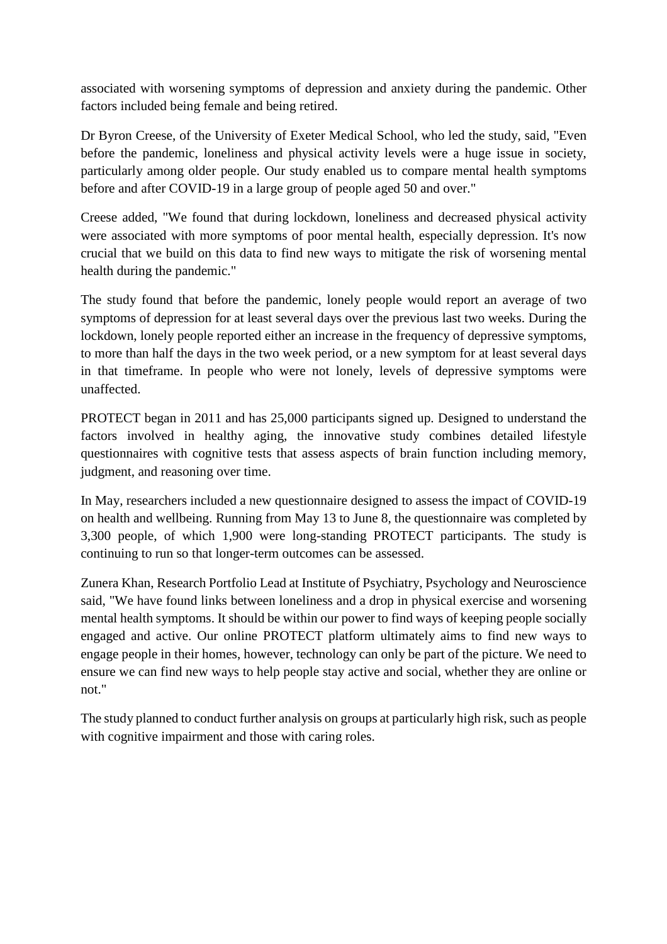associated with worsening symptoms of depression and anxiety during the pandemic. Other factors included being female and being retired.

Dr Byron Creese, of the University of Exeter Medical School, who led the study, said, "Even before the pandemic, loneliness and physical activity levels were a huge issue in society, particularly among older people. Our study enabled us to compare mental health symptoms before and after COVID-19 in a large group of people aged 50 and over."

Creese added, "We found that during lockdown, loneliness and decreased physical activity were associated with more symptoms of poor mental health, especially depression. It's now crucial that we build on this data to find new ways to mitigate the risk of worsening mental health during the pandemic."

The study found that before the pandemic, lonely people would report an average of two symptoms of depression for at least several days over the previous last two weeks. During the lockdown, lonely people reported either an increase in the frequency of depressive symptoms, to more than half the days in the two week period, or a new symptom for at least several days in that timeframe. In people who were not lonely, levels of depressive symptoms were unaffected.

PROTECT began in 2011 and has 25,000 participants signed up. Designed to understand the factors involved in healthy aging, the innovative study combines detailed lifestyle questionnaires with cognitive tests that assess aspects of brain function including memory, judgment, and reasoning over time.

In May, researchers included a new questionnaire designed to assess the impact of COVID-19 on health and wellbeing. Running from May 13 to June 8, the questionnaire was completed by 3,300 people, of which 1,900 were long-standing PROTECT participants. The study is continuing to run so that longer-term outcomes can be assessed.

Zunera Khan, Research Portfolio Lead at Institute of Psychiatry, Psychology and Neuroscience said, "We have found links between loneliness and a drop in physical exercise and worsening mental health symptoms. It should be within our power to find ways of keeping people socially engaged and active. Our online PROTECT platform ultimately aims to find new ways to engage people in their homes, however, technology can only be part of the picture. We need to ensure we can find new ways to help people stay active and social, whether they are online or not."

The study planned to conduct further analysis on groups at particularly high risk, such as people with cognitive impairment and those with caring roles.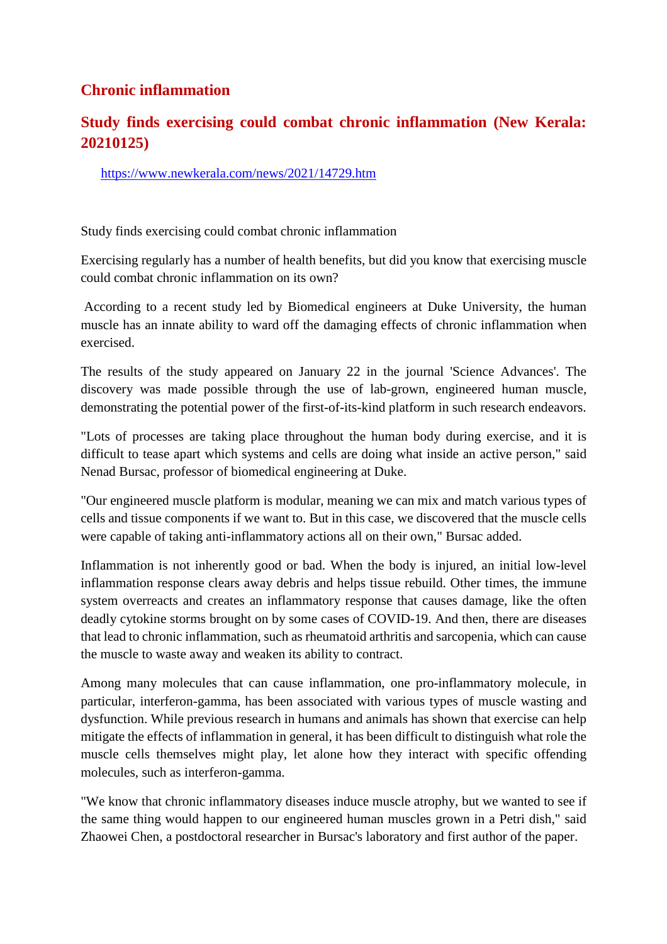## **Chronic inflammation**

## **Study finds exercising could combat chronic inflammation (New Kerala: 20210125)**

https://www.newkerala.com/news/2021/14729.htm

Study finds exercising could combat chronic inflammation

Exercising regularly has a number of health benefits, but did you know that exercising muscle could combat chronic inflammation on its own?

According to a recent study led by Biomedical engineers at Duke University, the human muscle has an innate ability to ward off the damaging effects of chronic inflammation when exercised.

The results of the study appeared on January 22 in the journal 'Science Advances'. The discovery was made possible through the use of lab-grown, engineered human muscle, demonstrating the potential power of the first-of-its-kind platform in such research endeavors.

"Lots of processes are taking place throughout the human body during exercise, and it is difficult to tease apart which systems and cells are doing what inside an active person," said Nenad Bursac, professor of biomedical engineering at Duke.

"Our engineered muscle platform is modular, meaning we can mix and match various types of cells and tissue components if we want to. But in this case, we discovered that the muscle cells were capable of taking anti-inflammatory actions all on their own," Bursac added.

Inflammation is not inherently good or bad. When the body is injured, an initial low-level inflammation response clears away debris and helps tissue rebuild. Other times, the immune system overreacts and creates an inflammatory response that causes damage, like the often deadly cytokine storms brought on by some cases of COVID-19. And then, there are diseases that lead to chronic inflammation, such as rheumatoid arthritis and sarcopenia, which can cause the muscle to waste away and weaken its ability to contract.

Among many molecules that can cause inflammation, one pro-inflammatory molecule, in particular, interferon-gamma, has been associated with various types of muscle wasting and dysfunction. While previous research in humans and animals has shown that exercise can help mitigate the effects of inflammation in general, it has been difficult to distinguish what role the muscle cells themselves might play, let alone how they interact with specific offending molecules, such as interferon-gamma.

"We know that chronic inflammatory diseases induce muscle atrophy, but we wanted to see if the same thing would happen to our engineered human muscles grown in a Petri dish," said Zhaowei Chen, a postdoctoral researcher in Bursac's laboratory and first author of the paper.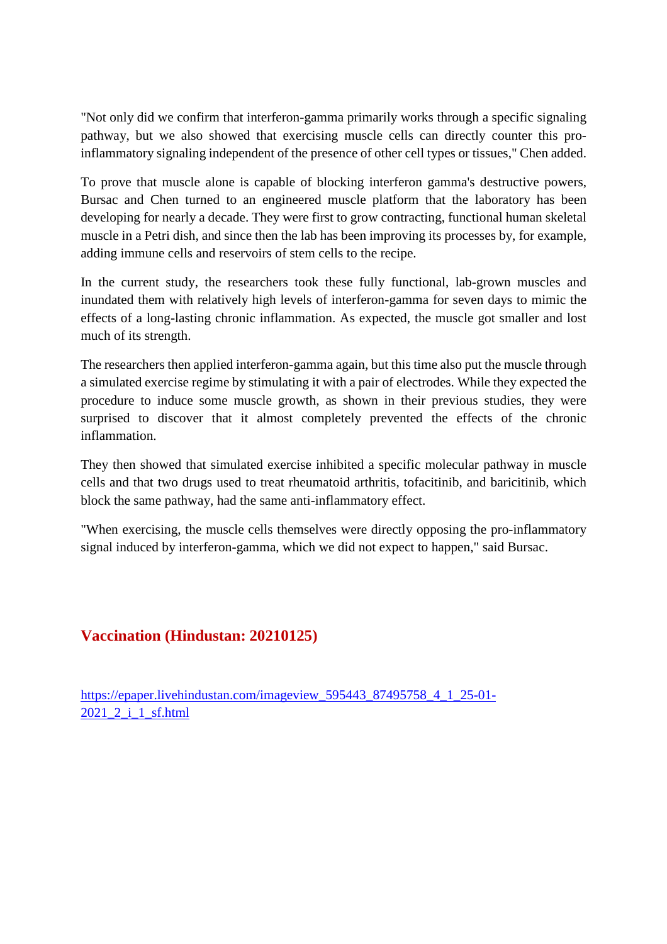"Not only did we confirm that interferon-gamma primarily works through a specific signaling pathway, but we also showed that exercising muscle cells can directly counter this proinflammatory signaling independent of the presence of other cell types or tissues," Chen added.

To prove that muscle alone is capable of blocking interferon gamma's destructive powers, Bursac and Chen turned to an engineered muscle platform that the laboratory has been developing for nearly a decade. They were first to grow contracting, functional human skeletal muscle in a Petri dish, and since then the lab has been improving its processes by, for example, adding immune cells and reservoirs of stem cells to the recipe.

In the current study, the researchers took these fully functional, lab-grown muscles and inundated them with relatively high levels of interferon-gamma for seven days to mimic the effects of a long-lasting chronic inflammation. As expected, the muscle got smaller and lost much of its strength.

The researchers then applied interferon-gamma again, but this time also put the muscle through a simulated exercise regime by stimulating it with a pair of electrodes. While they expected the procedure to induce some muscle growth, as shown in their previous studies, they were surprised to discover that it almost completely prevented the effects of the chronic inflammation.

They then showed that simulated exercise inhibited a specific molecular pathway in muscle cells and that two drugs used to treat rheumatoid arthritis, tofacitinib, and baricitinib, which block the same pathway, had the same anti-inflammatory effect.

"When exercising, the muscle cells themselves were directly opposing the pro-inflammatory signal induced by interferon-gamma, which we did not expect to happen," said Bursac.

## **Vaccination (Hindustan: 20210125)**

https://epaper.livehindustan.com/imageview\_595443\_87495758\_4\_1\_25-01-2021 2 i 1 sf.html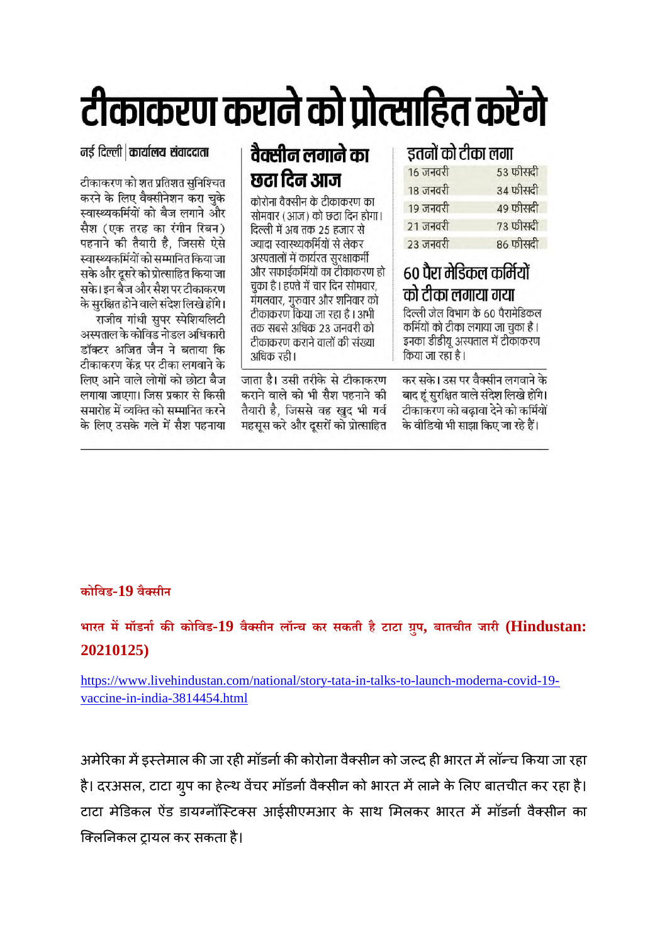# टीकाकरण कराने को प्रोत्साहित करेंगे

नई दिल्ली | कार्यालय संवाददाता

टीकाकरण को शत प्रतिशत सुनिश्चित करने के लिए वैक्सीनेशन करा चुके स्वास्थ्यकर्मियों को बैज लगाने और सैश (एक तरह का रंगीन रिबन) पहनाने की तैयारी है, जिससे ऐसे स्वास्थ्यकर्मियों को सम्मानित किया जा सके और दूसरे को प्रोत्साहित किया जा सके। इन बैज और सैश पर टीकाकरण के सुरक्षित होने वाले संदेश लिखे होंगे।

राजीव गांधी सुपर स्पेशियलिटी अस्पताल के कोविड नोडल अधिकारी डॉक्टर अजित जैन ने बताया कि टीकाकरण केंद्र पर टीका लगवाने के लिए आने वाले लोगों को छोटा बैज लगाया जाएगा। जिस प्रकार से किसी समारोह में व्यक्ति को सम्मानित करने के लिए उसके गले में सैश पहनाया

## वैक्सीन लगाने का छटा दिन आज

कोरोना वैक्सीन के टीकाकरण का सोमवार (आज) को छठा दिन होगा। दिल्ली में अब तक 25 हजार से ज्यादा स्वास्थ्यकर्मियों से लेकर अस्पतालों में कार्यरत सुरक्षाकर्मी और सफाईकर्मियों का टीकाकरण हो चुका है। हफ्ते में चार दिन सोमवार, मंगलवार, गुरुवार और शनिवार को टीकाकरण किया जा रहा है। अभी तक सबसे अधिक 23 जनवरी को टीकाकरण कराने वालों की संख्या अधिक रही।

जाता है। उसी तरीके से टीकाकरण कराने वाले को भी सैश पहनाने की तैयारी है, जिससे वह खुद भी गर्व महसस करे और दसरों को प्रोत्साहित

## डतनों को टीका लगा

| $10 \text{ and }$ | ३३ फासदा |
|-------------------|----------|
| 18 जनवरी          | 34 फीसदी |
| 19 जनवरी          | 49 फीसदी |
| 21 जनवरी          | 73 फीसदी |
| 23 जनवरी          | 86 फीसदी |

## ६० पैरा मेडिकल कर्मियों को टीका लगाया गया

दिल्ली जेल विभाग के 60 पैरामेडिकल कर्मियों को टीका लगाया जा चुका है । इनका डीडीयू अस्पताल में टीकाकरण किया जा रहा है।

कर सके। उस पर वैक्सीन लगवाने के बाद हूं सुरक्षित वाले संदेश लिखे होंगे। टीकाकरण को बढ़ावा देने को कर्मियों के वीडियो भी साझा किए जा रहे हैं।

## **कोिवड-19 वैसीन**

**भारत ममॉडनाककोिवड-19 वैसीन लॉच कर सकती है टाटा ुप, बातचीत जारी (Hindustan: 20210125)**

https://www.livehindustan.com/national/story-tata-in-talks-to-launch-moderna-covid-19 vaccine-in-india-3814454.html

अमेरिका में इस्तेमाल की जा रही मॉडर्ना की कोरोना वैक्सीन को जल्द ही भारत में लॉन्च किया जा रहा है। दरअसल, टाटा ग्रुप का हेल्थ वेंचर मॉडर्ना वैक्सीन को भारत में लाने के लिए बातचीत कर रहा है। टाटा मेडिकल ऐंड डायग्नॉस्टिक्स आईसीएमआर के साथ मिलकर भारत में मॉडर्ना वैक्सीन का क्लिनिकल ट्रायल कर सकता है।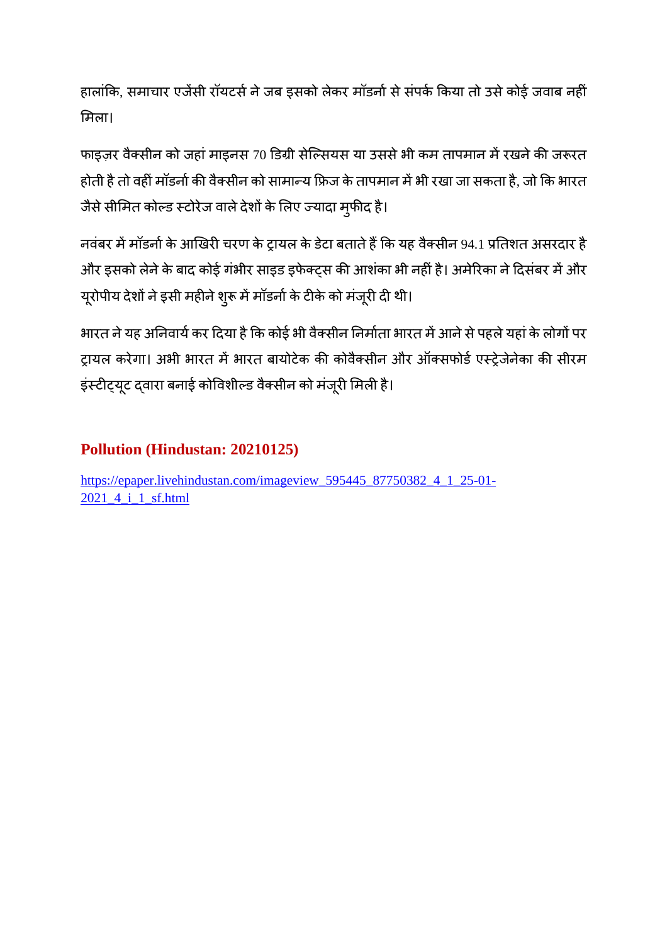हालांकि, समाचार एजेंसी रॉयटर्स ने जब इसको लेकर मॉडर्ना से संपर्क किया तो उसे कोई जवाब नहीं मला।

फाइज़र वैक्सीन को जहां माइनस 70 डिग्री सेल्सियस या उससे भी कम तापमान में रखने की जरूरत होती है तो वहीं मॉडर्ना की वैक्सीन को सामान्य फ्रिज के तापमान में भी रखा जा सकता है, जो कि भारत जैसे सीमित कोल्ड स्टोरेज वाले देशों के लिए ज्यादा मुफीद है।

नवंबर में मॉडर्ना के आखिरी चरण के ट्रायल के डेटा बताते हैं कि यह वैक्सीन 94.1 प्रतिशत असरदार है ओर इसको लेने के बाद कोई गंभीर साइड इफेक्ट्स की आशंका भी नहीं है। अमेरिका ने दिसंबर में और यूरोपीय देशों ने इसी महीने शुरू में मॉडर्ना के टीके को मंजूरी दी थी।

भारत ने यह अनिवार्य कर दिया है कि कोई भी वैक्सीन निर्माता भारत में आने से पहले यहां के लोगों पर ट्रायल करेगा। अभी भारत में भारत बायोटेक की कोवैक्सीन और ऑक्सफोर्ड एस्ट्रेजेनेका की सीरम इंस्टीट्यूट द्वारा बनाई कोविशील्ड वैक्सीन को मंजूरी मिली है।

## **Pollution (Hindustan: 20210125)**

https://epaper.livehindustan.com/imageview\_595445\_87750382\_4\_1\_25-01- 2021 4 i 1 sf.html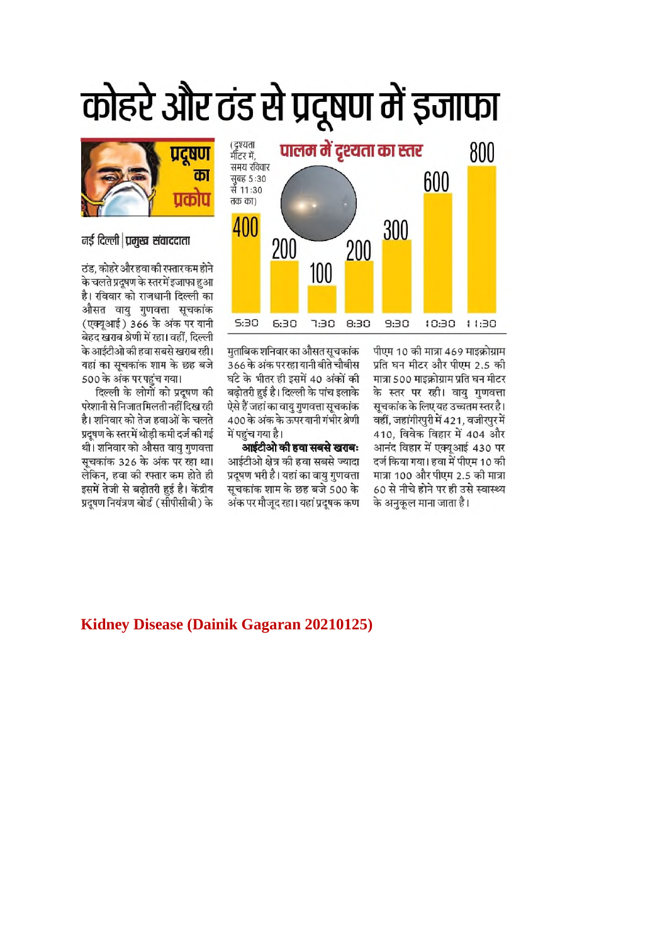## कोहरे और ठंड से प्रदूषण में इजाफा



मताबिक शनिवार का औसत सचकांक 366 के अंक पर रहा यानी बीते चौबीस घंटे के भीतर ही इसमें 40 अंकों की बढ़ोतरी हुई है। दिल्ली के पांच इलाके ऐसे हैं जहां का वाय गणवत्ता सूचकांक 400 के अंक के ऊपर यानी गंभीर श्रेणी में पहुंच गया है।

आईटीओ की हवा सबसे खराबः आईटीओ क्षेत्र की हवा सबसे ज्यादा प्रदुषण भरी है। यहां का वायु गुणवत्ता सूचकांक शाम के छह बजे 500 के अंक पर मौजूद रहा। यहां प्रदूषक कण

पीएम 10 की मात्रा 469 माइक्रोग्राम प्रति घन मीटर और पीएम 2.5 की मात्रा 500 माइक्रोग्राम प्रति घन मीटर के स्तर पर रही। वायु गुणवत्ता सूचकांक के लिए यह उच्चतम स्तर है। वहीं, जहांगीरपुरी में 421, वजीरपुर में 410, विवेक विहार में 404 और आनंद विहार में एक्यूआई 430 पर दर्ज किया गया। हवा में पीएम 10 की मात्रा 100 और पीएम 2.5 की मात्रा 60 से नीचे होने पर ही उसे स्वास्थ्य के अनुकूल माना जाता है।



#### नई दिल्ली प्रमुख संवाददाता

ठंड, कोहरे और हवा की रफ्तार कम होने के चलते प्रदूषण के स्तरमें इजाफा हुआ है। रविवार को राजधानी दिल्ली का औसत वायु गुणवत्ता सूचकांक (एक्युआई) 366 के अंक पर यानी बेहद खराब श्रेणी में रहा। वहीं, दिल्ली के आईटीओ की हवा सबसे खराब रही। यहां का सचकांक शाम के छह बजे 500 के अंक पर पहुंच गया।

दिल्ली के लोगों को प्रदूषण की परेशानी से निजात मिलती नहीं दिख रही है। शनिवार को तेज हवाओं के चलते प्रदूषण के स्तर में थोड़ी कमी दर्ज की गई थी। शनिवार को औसत वायु गुणवत्ता सूचकांक 326 के अंक पर रहा था। लेकिन, हवा की रफ्तार कम होते ही इसमें तेजी से बढ़ोतरी हुई है। केंद्रीय प्रदुषण नियंत्रण बोर्ड (सीपीसीबी) के

#### **Kidney Disease (Dainik Gagaran 20210125)**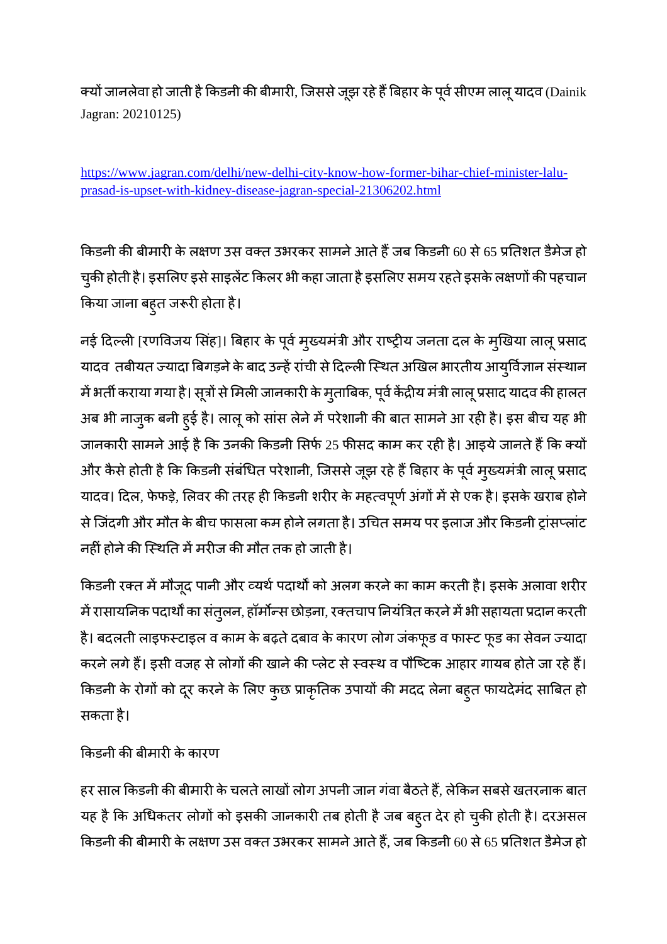क्यों जानलेवा हो जाती है किडनी की बीमारी, जिससे जूझ रहे हैं बिहार के पूर्व सीएम लालू यादव (Dainik Jagran: 20210125)

https://www.jagran.com/delhi/new-delhi-city-know-how-former-bihar-chief-minister-laluprasad-is-upset-with-kidney-disease-jagran-special-21306202.html

किडनी की बीमारी के लक्षण उस वक्त उभरकर सामने आते हैं जब किडनी 60 से 65 प्रतिशत डैमेज हो चुकी होती है। इसलिए इसे साइलेंट किलर भी कहा जाता है इसलिए समय रहते इसके लक्षणों की पहचान किया जाना बहुत जरूरी होता है।

नई दिल्ली [रणविजय सिंह]। बिहार के पूर्व मुख्यमंत्री और राष्ट्रीय जनता दल के मुखिया लालू प्रसाद यादव तबीयत ज्यादा बिगड़ने के बाद उन्हें रांची से दिल्ली स्थित अखिल भारतीय आयुर्विज्ञान संस्थान में भर्ती कराया गया है। सूत्रों से मिली जानकारी के मुताबिक, पूर्व केंद्रीय मंत्री लालू प्रसाद यादव की हालत अब भी नाजुक बनी हुई है। लालू को सांस लेने में परेशानी की बात सामने आ रही है। इस बीच यह भी जानकारी सामने आई है कि उनकी किडनी सिर्फ 25 फीसद काम कर रही है। आइये जानते हैं कि क्यों और कैसे होती है कि किडनी संबंधित परेशानी, जिससे जूझ रहे हैं बिहार के पूर्व मुख्यमंत्री लालू प्रसाद यादव। दिल, फेफड़े, लिवर की तरह ही किडनी शरीर के महत्वपूर्ण अंगों में से एक है। इसके खराब होने से जिंदगी और मौत के बीच फासला कम होने लगता है। उचित समय पर इलाज और किडनी ट्रांसप्लांट नहीं होने की स्थिति में मरीज की मौत तक हो जाती है।

किडनी रक्त में मौजूद पानी और व्यर्थ पदार्थों को अलग करने का काम करती है। इसके अलावा शरीर में रासायनिक पदार्थों का संतुलन, हॉर्मोन्स छोड़ना, रक्तचाप नियंत्रित करने में भी सहायता प्रदान करती है। बदलती लाइफस्टाइल व काम के बढ़ते दबाव के कारण लोग जंकफूड व फास्ट फूड का सेवन ज्यादा करने लगे हैं। इसी वजह से लोगों की खाने की प्लेट से स्वस्थ व पौष्टिक आहार गायब होते जा रहे हैं। किडनी के रोगों को दूर करने के लिए कुछ प्राकृतिक उपायों की मदद लेना बहुत फायदेमंद साबित हो सकता है।

किडनी की बीमारी के कारण

हर साल किडनी की बीमारी के चलते लाखों लोग अपनी जान गंवा बैठते हैं, लेकिन सबसे खतरनाक बात यह है कि अधिकतर लोगों को इसकी जानकारी तब होती है जब बहुत देर हो चुकी होती है। दरअसल किडनी की बीमारी के लक्षण उस वक्त उभरकर सामने आते हैं, जब किडनी 60 से 65 प्रतिशत डैमेज हो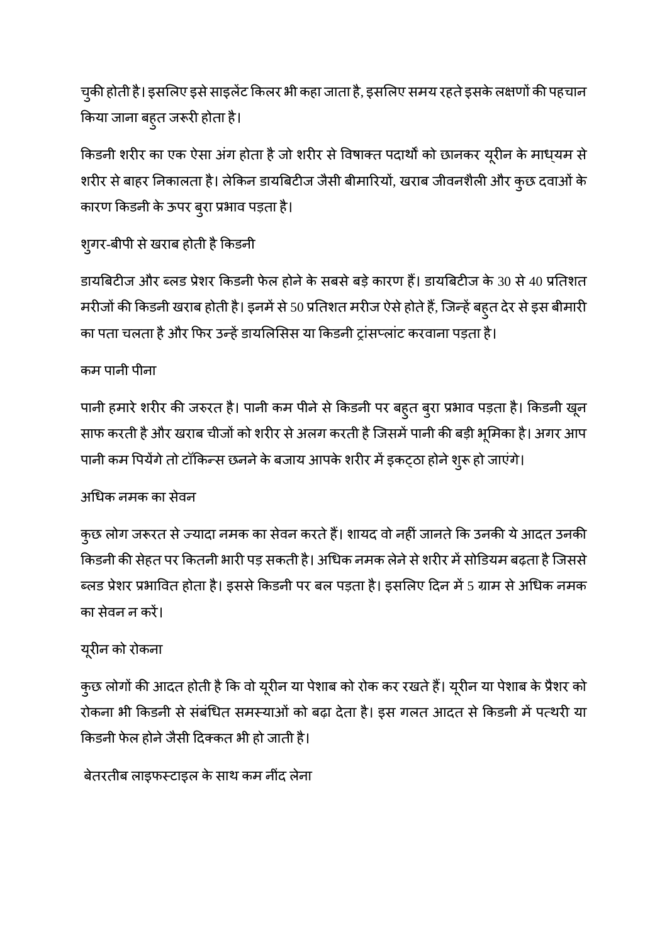चुकी होती है। इसलिए इसे साइलेंट किलर भी कहा जाता है, इसलिए समय रहते इसके लक्षणों की पहचान किया जाना बहुत जरूरी होता है।

किडनी शरीर का एक ऐसा अंग होता है जो शरीर से विषाक्त पदार्थों को छानकर यूरीन के माध्यम से शरीर से बाहर निकालता है। लेकिन डायबिटीज जैसी बीमारियों, खराब जीवनशैली और कुछ दवाओं के कारण किडनी के ऊपर बुरा प्रभाव पड़ता है।

## शुगर-बीपी से खराब होती है किडनी

डायबिटीज और ब्लड प्रेशर किडनी फेल होने के सबसे बड़े कारण हैं। डायबिटीज के 30 से 40 प्रतिशत मरीजों की किडनी खराब होती है। इनमें से 50 प्रतिशत मरीज ऐसे होते हैं, जिन्हें बहुत देर से इस बीमारी का पता चलता है और फिर उन्हें डायलिसिस या किडनी ट्रांसप्लांट करवाना पड़ता है।

## कम पानी पीना

पानी हमारे शरीर की जरुरत है। पानी कम पीने से किडनी पर बहुत बुरा प्रभाव पड़ता है। किडनी खून साफ करती है और खराब चीजों को शरीर से अलग करती है जिसमें पानी की बड़ी भूमिका है। अगर आप पानी कम पियेंगे तो टॉकिन्स छनने के बजाय आपके शरीर में इकट्ठा होने शुरू हो जाएंगे।

## अधक नमक का सेवन

कुछ लोग जरूरत से ज्यादा नमक का सेवन करते हैं। शायद वो नहीं जानते कि उनकी ये आदत उनकी किडनी की सेहत पर कितनी भारी पड़ सकती है। अधिक नमक लेने से शरीर में सोडियम बढ़ता है जिससे ब्लड प्रेशर प्रभावित होता है। इससे किडनी पर बल पड़ता है। इसलिए दिन में 5 ग्राम से अधिक नमक का सेवन न कर।

## यूरीन को रोकना

कुछ लोगों की आदत होती है कि वो यूरीन या पेशाब को रोक कर रखते हैं। यूरीन या पेशाब के प्रैशर को रोकना भी किडनी से संबंधित समस्याओं को बढ़ा देता है। इस गलत आदत से किडनी में पत्थरी या कडनी फेल होनेजैसी दकत भी हो जाती है।

बेतरतीब लाइफटाइल के साथ कम नींद लेना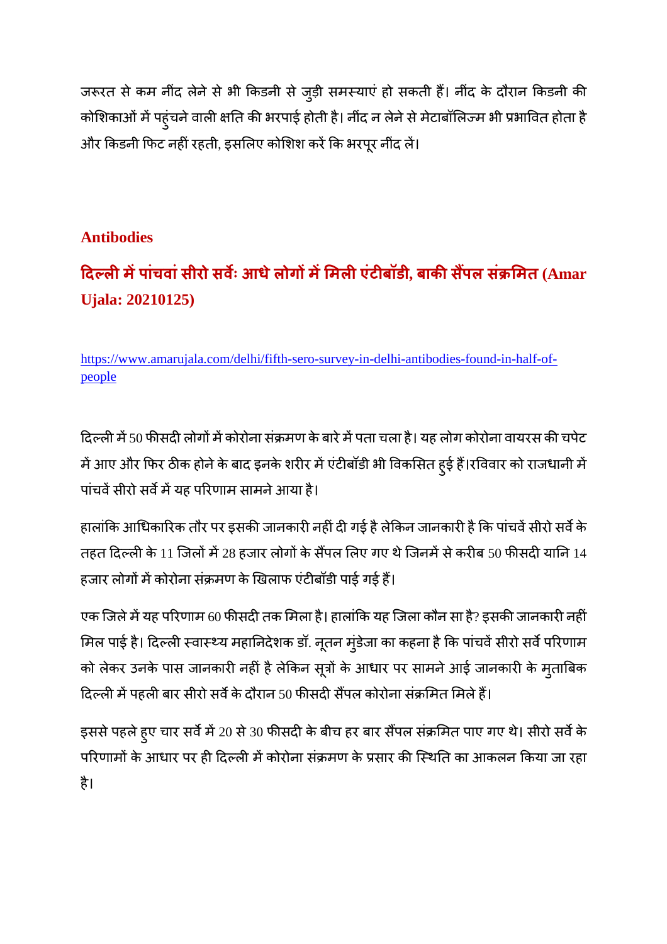जरूरत से कम नींद लेने से भी किडनी से जुड़ी समस्याएं हो सकती हैं। नींद के दौरान किडनी की कोशिकाओं में पहुंचने वाली क्षति की भरपाई होती है। नींद न लेने से मेटाबॉलिज्म भी प्रभावित होता है और किडनी फिट नहीं रहती, इसलिए कोशिश करें कि भरपूर नींद लें।

## **Antibodies**

## **दलमपांचवांसीरो सव ः आधेलोगममलएंटबॉडी, बाकसपल सं मत (Amar Ujala: 20210125)**

https://www.amarujala.com/delhi/fifth-sero-survey-in-delhi-antibodies-found-in-half-ofpeople

दिल्ली में 50 फीसदी लोगों में कोरोना संक्रमण के बारे में पता चला है। यह लोग कोरोना वायरस की चपेट में आए और फिर ठीक होने के बाद इनके शरीर में एंटीबॉडी भी विकसित हुई हैं।रविवार को राजधानी में पांचवें सीरो सर्वे में यह परिणाम सामने आया है।

हालांकि आधिकारिक तौर पर इसकी जानकारी नहीं दी गई है लेकिन जानकारी है कि पांचवें सीरो सर्वे के तहत दिल्ली के 11 जिलों में 28 हजार लोगों के सैंपल लिए गए थे जिनमें से करीब 50 फीसदी यानि 14 हजार लोगों में कोरोना संक्रमण के खिलाफ एंटीबॉडी पाई गई हैं।

एक जिले में यह परिणाम 60 फीसदी तक मिला है। हालांकि यह जिला कौन सा है? इसकी जानकारी नहीं मिल पाई है। दिल्ली स्वास्थ्य महानिदेशक डॉ. नूतन मुंडेजा का कहना है कि पांचवें सीरो सर्वे परिणाम को लेकर उनके पास जानकारी नहीं है लेकिन सूत्रों के आधार पर सामने आई जानकारी के मुताबिक दिल्ली में पहली बार सीरो सर्वे के दौरान 50 फीसदी सैंपल कोरोना संक्रमित मिले हैं।

इससे पहले हुए चार सर्वे में 20 से 30 फीसदी के बीच हर बार सैंपल संक्रमित पाए गए थे। सीरो सर्वे के परिणामों के आधार पर ही दिल्ली में कोरोना संक्रमण के प्रसार की स्थिति का आकलन किया जा रहा है।